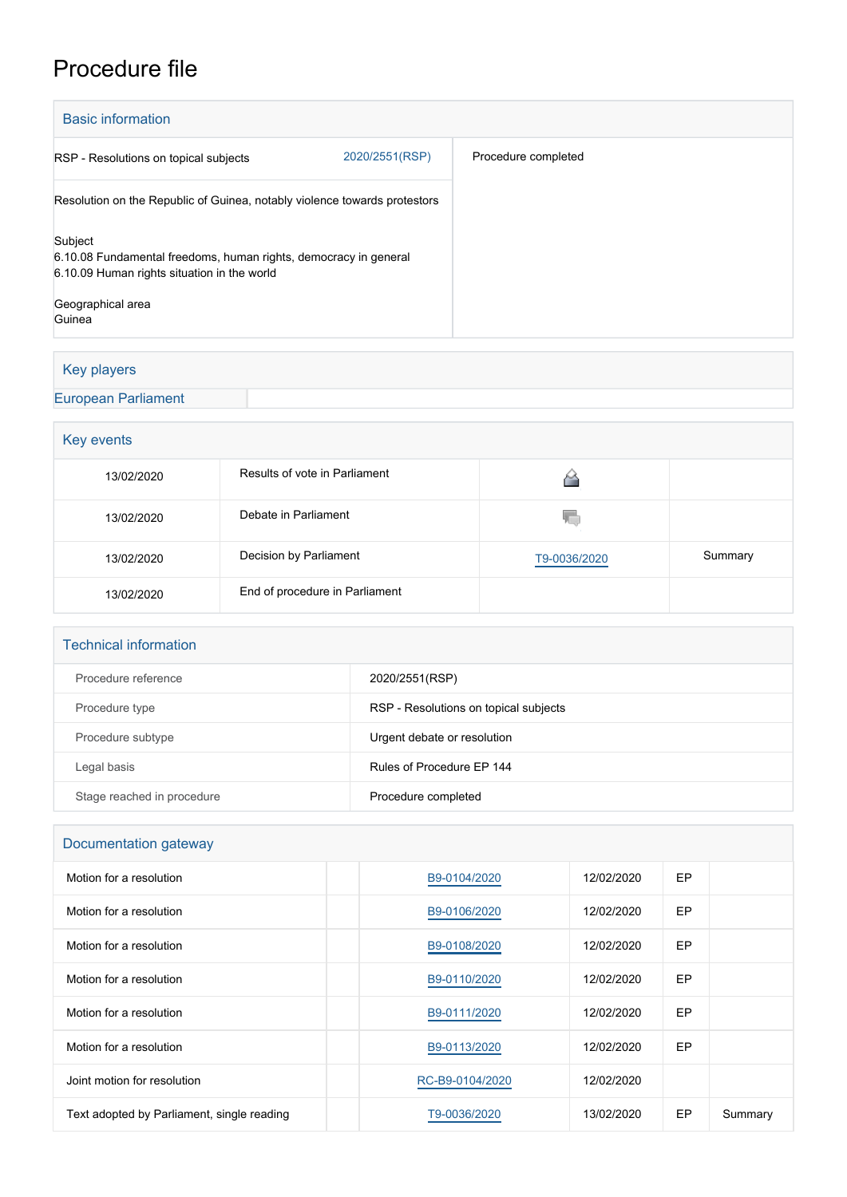# Procedure file

| <b>Basic information</b>                                                                                                   |                |                     |  |  |  |  |
|----------------------------------------------------------------------------------------------------------------------------|----------------|---------------------|--|--|--|--|
| RSP - Resolutions on topical subjects                                                                                      | 2020/2551(RSP) | Procedure completed |  |  |  |  |
| Resolution on the Republic of Guinea, notably violence towards protestors                                                  |                |                     |  |  |  |  |
| Subject<br>6.10.08 Fundamental freedoms, human rights, democracy in general<br>6.10.09 Human rights situation in the world |                |                     |  |  |  |  |
| Geographical area<br>Guinea                                                                                                |                |                     |  |  |  |  |

## Key players

[European Parliament](http://www.europarl.europa.eu/)

## Key events

| 13/02/2020 | Results of vote in Parliament  |              |         |
|------------|--------------------------------|--------------|---------|
| 13/02/2020 | Debate in Parliament           | w            |         |
| 13/02/2020 | Decision by Parliament         | T9-0036/2020 | Summary |
| 13/02/2020 | End of procedure in Parliament |              |         |

### Technical information

| Procedure reference        | 2020/2551(RSP)                        |
|----------------------------|---------------------------------------|
| Procedure type             | RSP - Resolutions on topical subjects |
| Procedure subtype          | Urgent debate or resolution           |
| Legal basis                | Rules of Procedure FP 144             |
| Stage reached in procedure | Procedure completed                   |

## Documentation gateway

| Motion for a resolution                    | B9-0104/2020    | 12/02/2020 | EP |         |
|--------------------------------------------|-----------------|------------|----|---------|
| Motion for a resolution                    | B9-0106/2020    | 12/02/2020 | EP |         |
| Motion for a resolution                    | B9-0108/2020    | 12/02/2020 | EP |         |
| Motion for a resolution                    | B9-0110/2020    | 12/02/2020 | EP |         |
| Motion for a resolution                    | B9-0111/2020    | 12/02/2020 | EP |         |
| Motion for a resolution                    | B9-0113/2020    | 12/02/2020 | EP |         |
| Joint motion for resolution                | RC-B9-0104/2020 | 12/02/2020 |    |         |
| Text adopted by Parliament, single reading | T9-0036/2020    | 13/02/2020 | EP | Summary |